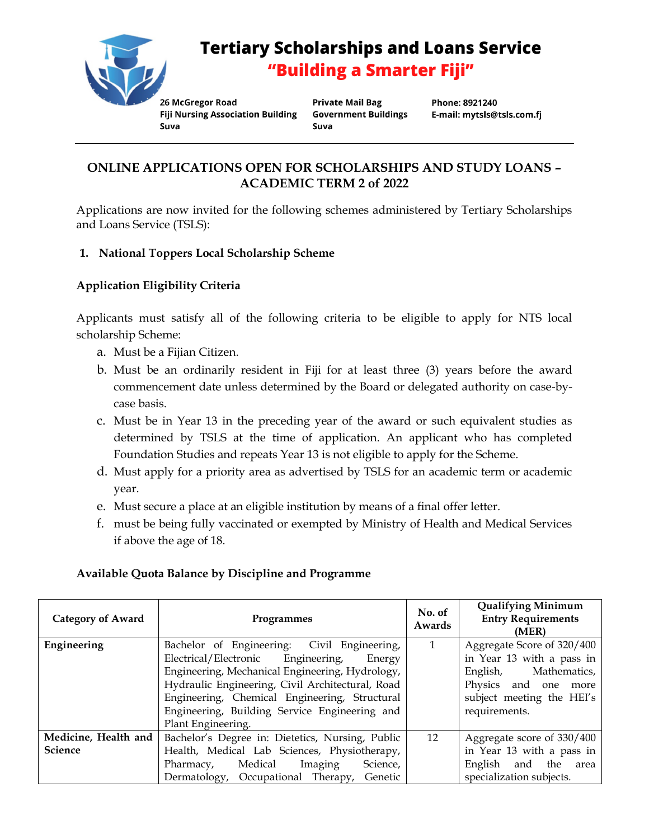

# **Tertiary Scholarships and Loans Service** "Building a Smarter Fiji"

26 McGregor Road **Fiji Nursing Association Building** Suva

**Private Mail Bag Government Buildings** Suva

Phone: 8921240 E-mail: mytsls@tsls.com.fj

# **ONLINE APPLICATIONS OPEN FOR SCHOLARSHIPS AND STUDY LOANS – ACADEMIC TERM 2 of 2022**

Applications are now invited for the following schemes administered by Tertiary Scholarships and Loans Service (TSLS):

# **1. National Toppers Local Scholarship Scheme**

# **Application Eligibility Criteria**

Applicants must satisfy all of the following criteria to be eligible to apply for NTS local scholarship Scheme:

- a. Must be a Fijian Citizen.
- b. Must be an ordinarily resident in Fiji for at least three (3) years before the award commencement date unless determined by the Board or delegated authority on case-bycase basis.
- c. Must be in Year 13 in the preceding year of the award or such equivalent studies as determined by TSLS at the time of application. An applicant who has completed Foundation Studies and repeats Year 13 is not eligible to apply for the Scheme.
- d. Must apply for a priority area as advertised by TSLS for an academic term or academic year.
- e. Must secure a place at an eligible institution by means of a final offer letter.
- f. must be being fully vaccinated or exempted by Ministry of Health and Medical Services if above the age of 18.

# **Available Quota Balance by Discipline and Programme**

| <b>Category of Award</b>               | Programmes                                                                                                                                                                                                                                                                                                                 | No. of<br>Awards | <b>Qualifying Minimum</b><br><b>Entry Requirements</b><br>(MER)                                                                                        |
|----------------------------------------|----------------------------------------------------------------------------------------------------------------------------------------------------------------------------------------------------------------------------------------------------------------------------------------------------------------------------|------------------|--------------------------------------------------------------------------------------------------------------------------------------------------------|
| Engineering                            | Bachelor of Engineering: Civil Engineering,<br>Electrical/Electronic Engineering,<br>Energy<br>Engineering, Mechanical Engineering, Hydrology,<br>Hydraulic Engineering, Civil Architectural, Road<br>Engineering, Chemical Engineering, Structural<br>Engineering, Building Service Engineering and<br>Plant Engineering. |                  | Aggregate Score of 320/400<br>in Year 13 with a pass in<br>English, Mathematics,<br>Physics and one more<br>subject meeting the HEI's<br>requirements. |
| Medicine, Health and<br><b>Science</b> | Bachelor's Degree in: Dietetics, Nursing, Public<br>Health, Medical Lab Sciences, Physiotherapy,<br>Pharmacy, Medical Imaging<br>Science,<br>Dermatology, Occupational Therapy, Genetic                                                                                                                                    | 12               | Aggregate score of 330/400<br>in Year 13 with a pass in<br>and the<br>English<br>area<br>specialization subjects.                                      |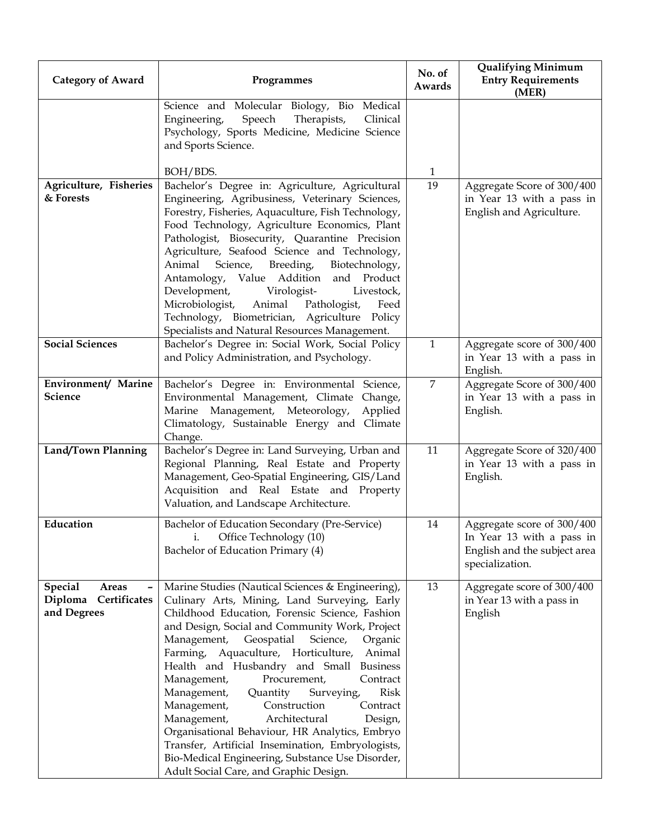| <b>Category of Award</b>                                       | Programmes                                                                                                                                                                                                                                                                                                                                                                                                                                                                                                                                                                                                                                                                                                                                                    | No. of<br>Awards | <b>Qualifying Minimum</b><br><b>Entry Requirements</b><br>(MER)                                            |
|----------------------------------------------------------------|---------------------------------------------------------------------------------------------------------------------------------------------------------------------------------------------------------------------------------------------------------------------------------------------------------------------------------------------------------------------------------------------------------------------------------------------------------------------------------------------------------------------------------------------------------------------------------------------------------------------------------------------------------------------------------------------------------------------------------------------------------------|------------------|------------------------------------------------------------------------------------------------------------|
|                                                                | Science and Molecular Biology, Bio Medical<br>Speech<br>Therapists,<br>Engineering,<br>Clinical<br>Psychology, Sports Medicine, Medicine Science<br>and Sports Science.                                                                                                                                                                                                                                                                                                                                                                                                                                                                                                                                                                                       |                  |                                                                                                            |
|                                                                | BOH/BDS.                                                                                                                                                                                                                                                                                                                                                                                                                                                                                                                                                                                                                                                                                                                                                      | $\mathbf{1}$     |                                                                                                            |
| Agriculture, Fisheries<br>& Forests                            | Bachelor's Degree in: Agriculture, Agricultural<br>Engineering, Agribusiness, Veterinary Sciences,<br>Forestry, Fisheries, Aquaculture, Fish Technology,<br>Food Technology, Agriculture Economics, Plant<br>Pathologist, Biosecurity, Quarantine Precision<br>Agriculture, Seafood Science and Technology,<br>Animal<br>Breeding,<br>Science,<br>Biotechnology,<br>Value Addition<br>and Product<br>Antamology,<br>Development,<br>Virologist-<br>Livestock,<br>Microbiologist,<br>Animal<br>Pathologist,<br>Feed<br>Technology, Biometrician, Agriculture Policy<br>Specialists and Natural Resources Management.                                                                                                                                           | 19               | Aggregate Score of 300/400<br>in Year 13 with a pass in<br>English and Agriculture.                        |
| <b>Social Sciences</b>                                         | Bachelor's Degree in: Social Work, Social Policy<br>and Policy Administration, and Psychology.                                                                                                                                                                                                                                                                                                                                                                                                                                                                                                                                                                                                                                                                | $\mathbf{1}$     | Aggregate score of 300/400<br>in Year 13 with a pass in<br>English.                                        |
| Environment/ Marine<br>Science                                 | Bachelor's Degree in: Environmental Science,<br>Environmental Management, Climate Change,<br>Marine Management, Meteorology,<br>Applied<br>Climatology, Sustainable Energy and Climate<br>Change.                                                                                                                                                                                                                                                                                                                                                                                                                                                                                                                                                             | $\overline{7}$   | Aggregate Score of 300/400<br>in Year 13 with a pass in<br>English.                                        |
| Land/Town Planning                                             | Bachelor's Degree in: Land Surveying, Urban and<br>Regional Planning, Real Estate and Property<br>Management, Geo-Spatial Engineering, GIS/Land<br>Acquisition and Real Estate and Property<br>Valuation, and Landscape Architecture.                                                                                                                                                                                                                                                                                                                                                                                                                                                                                                                         | 11               | Aggregate Score of 320/400<br>in Year 13 with a pass in<br>English.                                        |
| Education                                                      | Bachelor of Education Secondary (Pre-Service)<br>Office Technology (10)<br>i.<br>Bachelor of Education Primary (4)                                                                                                                                                                                                                                                                                                                                                                                                                                                                                                                                                                                                                                            | 14               | Aggregate score of 300/400<br>In Year 13 with a pass in<br>English and the subject area<br>specialization. |
| <b>Special</b><br>Areas<br>Diploma Certificates<br>and Degrees | Marine Studies (Nautical Sciences & Engineering),<br>Culinary Arts, Mining, Land Surveying, Early<br>Childhood Education, Forensic Science, Fashion<br>and Design, Social and Community Work, Project<br>Management,<br>Geospatial<br>Science,<br>Organic<br>Farming, Aquaculture, Horticulture,<br>Animal<br>Health and Husbandry and Small<br><b>Business</b><br>Management,<br>Procurement,<br>Contract<br>Management,<br><b>Risk</b><br>Quantity<br>Surveying,<br>Management,<br>Construction<br>Contract<br>Architectural<br>Management,<br>Design,<br>Organisational Behaviour, HR Analytics, Embryo<br>Transfer, Artificial Insemination, Embryologists,<br>Bio-Medical Engineering, Substance Use Disorder,<br>Adult Social Care, and Graphic Design. | 13               | Aggregate score of 300/400<br>in Year 13 with a pass in<br>English                                         |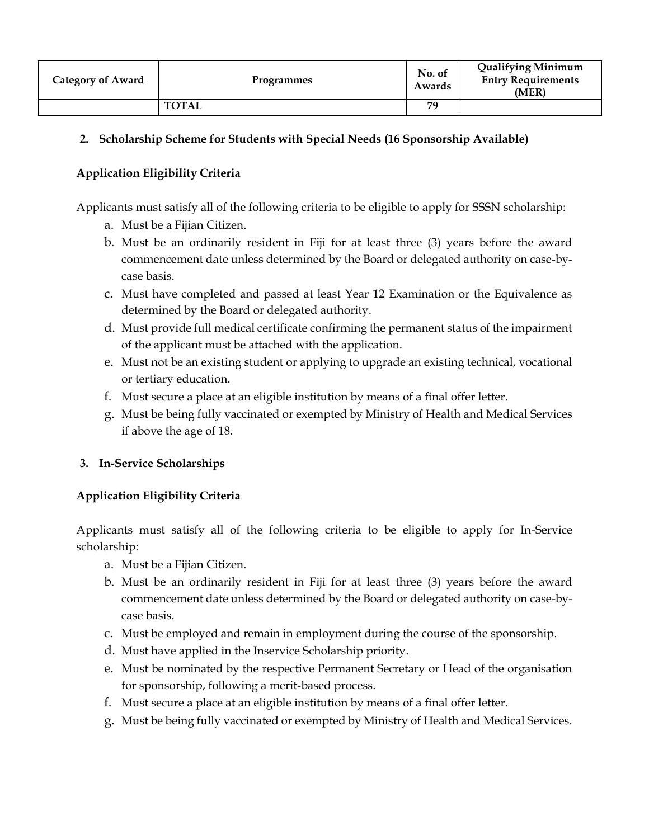| <b>Category of Award</b> | Programmes   | No. of<br>Awards | <b>Qualifying Minimum</b><br><b>Entry Requirements</b><br>(MER) |
|--------------------------|--------------|------------------|-----------------------------------------------------------------|
|                          | <b>TOTAL</b> | 79               |                                                                 |

#### **2. Scholarship Scheme for Students with Special Needs (16 Sponsorship Available)**

#### **Application Eligibility Criteria**

Applicants must satisfy all of the following criteria to be eligible to apply for SSSN scholarship:

- a. Must be a Fijian Citizen.
- b. Must be an ordinarily resident in Fiji for at least three (3) years before the award commencement date unless determined by the Board or delegated authority on case-bycase basis.
- c. Must have completed and passed at least Year 12 Examination or the Equivalence as determined by the Board or delegated authority.
- d. Must provide full medical certificate confirming the permanent status of the impairment of the applicant must be attached with the application.
- e. Must not be an existing student or applying to upgrade an existing technical, vocational or tertiary education.
- f. Must secure a place at an eligible institution by means of a final offer letter.
- g. Must be being fully vaccinated or exempted by Ministry of Health and Medical Services if above the age of 18.

#### **3. In-Service Scholarships**

# **Application Eligibility Criteria**

Applicants must satisfy all of the following criteria to be eligible to apply for In-Service scholarship:

- a. Must be a Fijian Citizen.
- b. Must be an ordinarily resident in Fiji for at least three (3) years before the award commencement date unless determined by the Board or delegated authority on case-bycase basis.
- c. Must be employed and remain in employment during the course of the sponsorship.
- d. Must have applied in the Inservice Scholarship priority.
- e. Must be nominated by the respective Permanent Secretary or Head of the organisation for sponsorship, following a merit-based process.
- f. Must secure a place at an eligible institution by means of a final offer letter.
- g. Must be being fully vaccinated or exempted by Ministry of Health and Medical Services.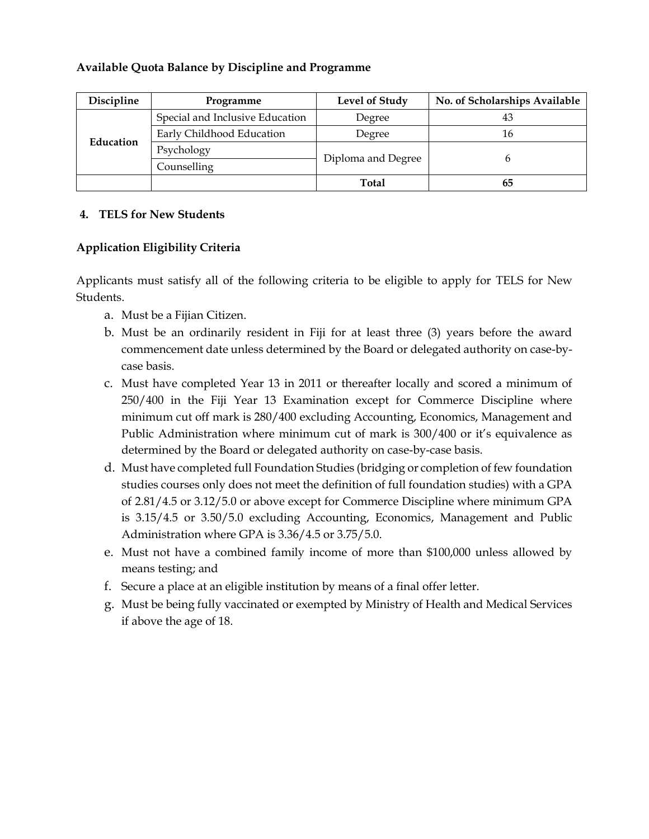#### **Available Quota Balance by Discipline and Programme**

| Discipline | Programme                       | Level of Study     | No. of Scholarships Available |
|------------|---------------------------------|--------------------|-------------------------------|
| Education  | Special and Inclusive Education | Degree             |                               |
|            | Early Childhood Education       | Degree             | 16                            |
|            | Psychology                      |                    |                               |
|            | Counselling                     | Diploma and Degree |                               |
|            |                                 | <b>Total</b>       | 65                            |

#### **4. TELS for New Students**

### **Application Eligibility Criteria**

Applicants must satisfy all of the following criteria to be eligible to apply for TELS for New Students.

- a. Must be a Fijian Citizen.
- b. Must be an ordinarily resident in Fiji for at least three (3) years before the award commencement date unless determined by the Board or delegated authority on case-bycase basis.
- c. Must have completed Year 13 in 2011 or thereafter locally and scored a minimum of 250/400 in the Fiji Year 13 Examination except for Commerce Discipline where minimum cut off mark is 280/400 excluding Accounting, Economics, Management and Public Administration where minimum cut of mark is 300/400 or it's equivalence as determined by the Board or delegated authority on case-by-case basis.
- d. Must have completed full Foundation Studies (bridging or completion of few foundation studies courses only does not meet the definition of full foundation studies) with a GPA of 2.81/4.5 or 3.12/5.0 or above except for Commerce Discipline where minimum GPA is 3.15/4.5 or 3.50/5.0 excluding Accounting, Economics, Management and Public Administration where GPA is 3.36/4.5 or 3.75/5.0.
- e. Must not have a combined family income of more than \$100,000 unless allowed by means testing; and
- f. Secure a place at an eligible institution by means of a final offer letter.
- g. Must be being fully vaccinated or exempted by Ministry of Health and Medical Services if above the age of 18.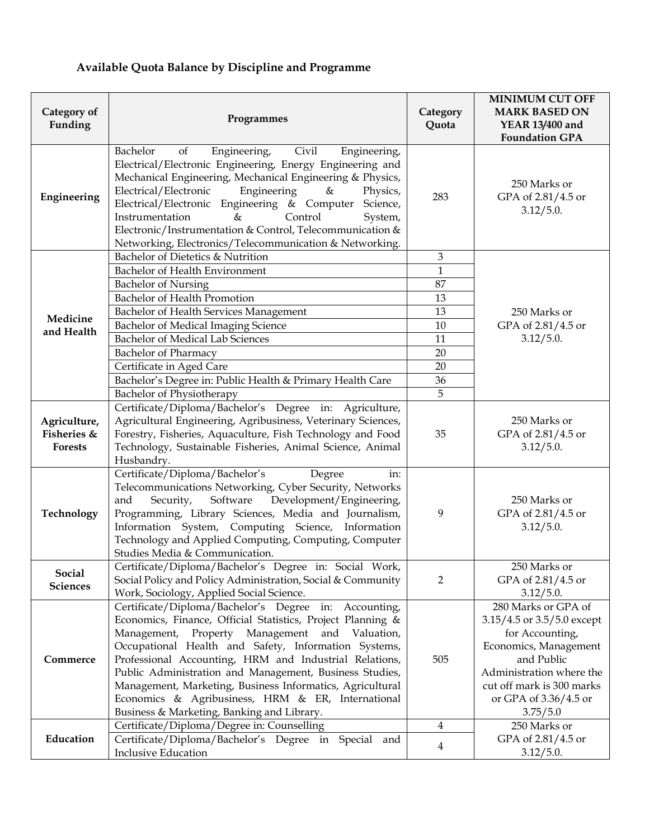# **Available Quota Balance by Discipline and Programme**

| Category of<br>Funding                 | Programmes                                                                                                                                                                                                                                                                                                                                                                                                                                                                                                                | Category<br>Quota | <b>MINIMUM CUT OFF</b><br><b>MARK BASED ON</b><br><b>YEAR 13/400 and</b><br><b>Foundation GPA</b>                                                                                                         |
|----------------------------------------|---------------------------------------------------------------------------------------------------------------------------------------------------------------------------------------------------------------------------------------------------------------------------------------------------------------------------------------------------------------------------------------------------------------------------------------------------------------------------------------------------------------------------|-------------------|-----------------------------------------------------------------------------------------------------------------------------------------------------------------------------------------------------------|
| Engineering                            | Bachelor<br>Civil<br>Engineering,<br>Engineering,<br>of<br>Electrical/Electronic Engineering, Energy Engineering and<br>Mechanical Engineering, Mechanical Engineering & Physics,<br>Electrical/Electronic<br>Engineering<br>$\&$<br>Physics,<br>Electrical/Electronic Engineering & Computer<br>Science,<br>$\&$<br>Control<br>Instrumentation<br>System,<br>Electronic/Instrumentation & Control, Telecommunication &<br>Networking, Electronics/Telecommunication & Networking.                                        | 283               | 250 Marks or<br>GPA of 2.81/4.5 or<br>3.12/5.0.                                                                                                                                                           |
|                                        | Bachelor of Dietetics & Nutrition                                                                                                                                                                                                                                                                                                                                                                                                                                                                                         | 3                 |                                                                                                                                                                                                           |
|                                        | Bachelor of Health Environment                                                                                                                                                                                                                                                                                                                                                                                                                                                                                            | $\mathbf{1}$      |                                                                                                                                                                                                           |
|                                        | <b>Bachelor of Nursing</b>                                                                                                                                                                                                                                                                                                                                                                                                                                                                                                | 87                |                                                                                                                                                                                                           |
|                                        | Bachelor of Health Promotion                                                                                                                                                                                                                                                                                                                                                                                                                                                                                              | 13                |                                                                                                                                                                                                           |
| Medicine                               | Bachelor of Health Services Management                                                                                                                                                                                                                                                                                                                                                                                                                                                                                    | 13                | 250 Marks or                                                                                                                                                                                              |
| and Health                             | Bachelor of Medical Imaging Science                                                                                                                                                                                                                                                                                                                                                                                                                                                                                       | 10                | GPA of 2.81/4.5 or                                                                                                                                                                                        |
|                                        | <b>Bachelor of Medical Lab Sciences</b>                                                                                                                                                                                                                                                                                                                                                                                                                                                                                   | 11                | 3.12/5.0.                                                                                                                                                                                                 |
|                                        | <b>Bachelor of Pharmacy</b>                                                                                                                                                                                                                                                                                                                                                                                                                                                                                               | 20                |                                                                                                                                                                                                           |
|                                        | Certificate in Aged Care                                                                                                                                                                                                                                                                                                                                                                                                                                                                                                  | 20                |                                                                                                                                                                                                           |
|                                        | Bachelor's Degree in: Public Health & Primary Health Care                                                                                                                                                                                                                                                                                                                                                                                                                                                                 | 36                |                                                                                                                                                                                                           |
|                                        | Bachelor of Physiotherapy                                                                                                                                                                                                                                                                                                                                                                                                                                                                                                 | 5                 |                                                                                                                                                                                                           |
| Agriculture,<br>Fisheries &<br>Forests | Certificate/Diploma/Bachelor's Degree in: Agriculture,<br>Agricultural Engineering, Agribusiness, Veterinary Sciences,<br>Forestry, Fisheries, Aquaculture, Fish Technology and Food<br>Technology, Sustainable Fisheries, Animal Science, Animal<br>Husbandry.                                                                                                                                                                                                                                                           | 35                | 250 Marks or<br>GPA of 2.81/4.5 or<br>3.12/5.0.                                                                                                                                                           |
| Technology                             | Certificate/Diploma/Bachelor's<br>Degree<br>in:<br>Telecommunications Networking, Cyber Security, Networks<br>Development/Engineering,<br>Security,<br>Software<br>and<br>Programming, Library Sciences, Media and Journalism,<br>Information System, Computing Science, Information<br>Technology and Applied Computing, Computing, Computer<br>Studies Media & Communication.                                                                                                                                           | 9                 | 250 Marks or<br>GPA of 2.81/4.5 or<br>3.12/5.0.                                                                                                                                                           |
| Social<br>Sciences                     | Certificate/Diploma/Bachelor's Degree in: Social Work,<br>Social Policy and Policy Administration, Social & Community<br>Work, Sociology, Applied Social Science.                                                                                                                                                                                                                                                                                                                                                         | $\overline{2}$    | 250 Marks or<br>GPA of 2.81/4.5 or<br>3.12/5.0.                                                                                                                                                           |
| Commerce                               | Certificate/Diploma/Bachelor's Degree in: Accounting,<br>Economics, Finance, Official Statistics, Project Planning &<br>Property Management<br>and Valuation,<br>Management,<br>Occupational Health and Safety, Information Systems,<br>Professional Accounting, HRM and Industrial Relations,<br>Public Administration and Management, Business Studies,<br>Management, Marketing, Business Informatics, Agricultural<br>Economics & Agribusiness, HRM & ER, International<br>Business & Marketing, Banking and Library. | 505               | 280 Marks or GPA of<br>3.15/4.5 or 3.5/5.0 except<br>for Accounting,<br>Economics, Management<br>and Public<br>Administration where the<br>cut off mark is 300 marks<br>or GPA of 3.36/4.5 or<br>3.75/5.0 |
|                                        | Certificate/Diploma/Degree in: Counselling                                                                                                                                                                                                                                                                                                                                                                                                                                                                                | $\overline{4}$    | 250 Marks or                                                                                                                                                                                              |
| Education                              | Certificate/Diploma/Bachelor's Degree in Special and<br><b>Inclusive Education</b>                                                                                                                                                                                                                                                                                                                                                                                                                                        | 4                 | GPA of 2.81/4.5 or<br>3.12/5.0.                                                                                                                                                                           |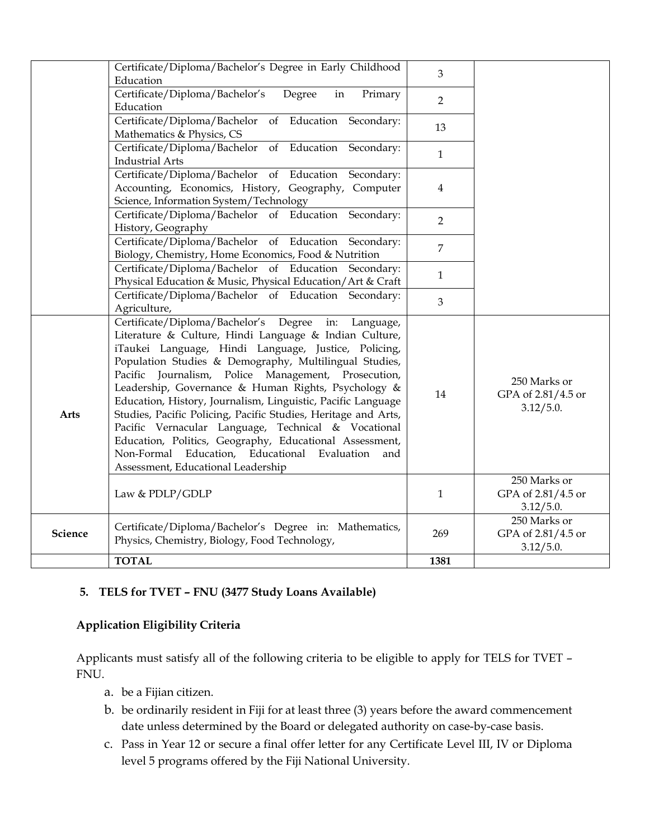|             | Certificate/Diploma/Bachelor's Degree in Early Childhood<br>Education                                                                                                                                                                                                                                                                                                                                                                                                                                                                                                                                                                                                                             | 3              |                                                 |
|-------------|---------------------------------------------------------------------------------------------------------------------------------------------------------------------------------------------------------------------------------------------------------------------------------------------------------------------------------------------------------------------------------------------------------------------------------------------------------------------------------------------------------------------------------------------------------------------------------------------------------------------------------------------------------------------------------------------------|----------------|-------------------------------------------------|
|             | Certificate/Diploma/Bachelor's<br>Degree<br>Primary<br>in<br>Education                                                                                                                                                                                                                                                                                                                                                                                                                                                                                                                                                                                                                            | $\overline{2}$ |                                                 |
|             | Certificate/Diploma/Bachelor<br>of Education Secondary:<br>Mathematics & Physics, CS                                                                                                                                                                                                                                                                                                                                                                                                                                                                                                                                                                                                              | 13             |                                                 |
|             | Certificate/Diploma/Bachelor<br>of Education Secondary:<br><b>Industrial Arts</b>                                                                                                                                                                                                                                                                                                                                                                                                                                                                                                                                                                                                                 | $\mathbf{1}$   |                                                 |
|             | Certificate/Diploma/Bachelor of Education Secondary:<br>Accounting, Economics, History, Geography, Computer<br>Science, Information System/Technology                                                                                                                                                                                                                                                                                                                                                                                                                                                                                                                                             | 4              |                                                 |
|             | Certificate/Diploma/Bachelor of Education Secondary:<br>History, Geography                                                                                                                                                                                                                                                                                                                                                                                                                                                                                                                                                                                                                        | $\overline{2}$ |                                                 |
|             | Certificate/Diploma/Bachelor of Education Secondary:<br>Biology, Chemistry, Home Economics, Food & Nutrition                                                                                                                                                                                                                                                                                                                                                                                                                                                                                                                                                                                      | $\overline{7}$ |                                                 |
|             | Certificate/Diploma/Bachelor of Education Secondary:<br>Physical Education & Music, Physical Education/Art & Craft                                                                                                                                                                                                                                                                                                                                                                                                                                                                                                                                                                                | $\mathbf{1}$   |                                                 |
|             | Certificate/Diploma/Bachelor of Education Secondary:<br>Agriculture,                                                                                                                                                                                                                                                                                                                                                                                                                                                                                                                                                                                                                              | $\overline{3}$ |                                                 |
| <b>Arts</b> | Certificate/Diploma/Bachelor's Degree<br>in: Language,<br>Literature & Culture, Hindi Language & Indian Culture,<br>iTaukei Language, Hindi Language, Justice, Policing,<br>Population Studies & Demography, Multilingual Studies,<br>Pacific Journalism, Police Management, Prosecution,<br>Leadership, Governance & Human Rights, Psychology &<br>Education, History, Journalism, Linguistic, Pacific Language<br>Studies, Pacific Policing, Pacific Studies, Heritage and Arts,<br>Pacific Vernacular Language, Technical & Vocational<br>Education, Politics, Geography, Educational Assessment,<br>Non-Formal Education, Educational Evaluation<br>and<br>Assessment, Educational Leadership | 14             | 250 Marks or<br>GPA of 2.81/4.5 or<br>3.12/5.0. |
|             | Law & PDLP/GDLP                                                                                                                                                                                                                                                                                                                                                                                                                                                                                                                                                                                                                                                                                   | $\mathbf{1}$   | 250 Marks or<br>GPA of 2.81/4.5 or<br>3.12/5.0. |
| Science     | Certificate/Diploma/Bachelor's Degree in: Mathematics,<br>Physics, Chemistry, Biology, Food Technology,                                                                                                                                                                                                                                                                                                                                                                                                                                                                                                                                                                                           | 269            | 250 Marks or<br>GPA of 2.81/4.5 or<br>3.12/5.0. |
|             | <b>TOTAL</b>                                                                                                                                                                                                                                                                                                                                                                                                                                                                                                                                                                                                                                                                                      | 1381           |                                                 |

#### **5. TELS for TVET – FNU (3477 Study Loans Available)**

# **Application Eligibility Criteria**

Applicants must satisfy all of the following criteria to be eligible to apply for TELS for TVET – FNU.

- a. be a Fijian citizen.
- b. be ordinarily resident in Fiji for at least three (3) years before the award commencement date unless determined by the Board or delegated authority on case-by-case basis.
- c. Pass in Year 12 or secure a final offer letter for any Certificate Level III, IV or Diploma level 5 programs offered by the Fiji National University.